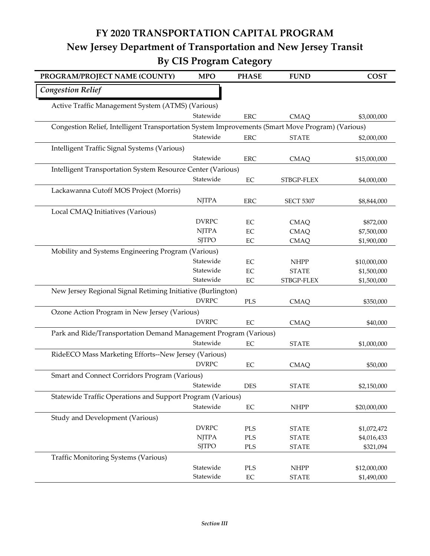## **FY 2020 TRANSPORTATION CAPITAL PROGRAM New Jersey Department of Transportation and New Jersey Transit By CIS Program Category**

| PROGRAM/PROJECT NAME (COUNTY)                                                                    | <b>MPO</b>   | <b>PHASE</b> | <b>FUND</b>      | <b>COST</b>  |  |
|--------------------------------------------------------------------------------------------------|--------------|--------------|------------------|--------------|--|
| <b>Congestion Relief</b>                                                                         |              |              |                  |              |  |
| Active Traffic Management System (ATMS) (Various)                                                |              |              |                  |              |  |
|                                                                                                  | Statewide    | <b>ERC</b>   | <b>CMAQ</b>      | \$3,000,000  |  |
| Congestion Relief, Intelligent Transportation System Improvements (Smart Move Program) (Various) |              |              |                  |              |  |
|                                                                                                  | Statewide    | <b>ERC</b>   | <b>STATE</b>     | \$2,000,000  |  |
| Intelligent Traffic Signal Systems (Various)                                                     |              |              |                  |              |  |
|                                                                                                  | Statewide    | <b>ERC</b>   | <b>CMAQ</b>      | \$15,000,000 |  |
| Intelligent Transportation System Resource Center (Various)                                      |              |              |                  |              |  |
|                                                                                                  | Statewide    | $\rm EC$     | STBGP-FLEX       | \$4,000,000  |  |
| Lackawanna Cutoff MOS Project (Morris)                                                           |              |              |                  |              |  |
|                                                                                                  | <b>NJTPA</b> | <b>ERC</b>   | <b>SECT 5307</b> | \$8,844,000  |  |
| Local CMAQ Initiatives (Various)                                                                 |              |              |                  |              |  |
|                                                                                                  | <b>DVRPC</b> | $\rm EC$     | <b>CMAQ</b>      | \$872,000    |  |
|                                                                                                  | <b>NJTPA</b> | $\rm EC$     | <b>CMAQ</b>      | \$7,500,000  |  |
|                                                                                                  | <b>SJTPO</b> | EC           | <b>CMAQ</b>      | \$1,900,000  |  |
| Mobility and Systems Engineering Program (Various)                                               |              |              |                  |              |  |
|                                                                                                  | Statewide    | $\rm EC$     | <b>NHPP</b>      | \$10,000,000 |  |
|                                                                                                  | Statewide    | EC           | <b>STATE</b>     | \$1,500,000  |  |
|                                                                                                  | Statewide    | $\rm EC$     | STBGP-FLEX       | \$1,500,000  |  |
| New Jersey Regional Signal Retiming Initiative (Burlington)                                      |              |              |                  |              |  |
|                                                                                                  | <b>DVRPC</b> | PLS          | <b>CMAQ</b>      | \$350,000    |  |
| Ozone Action Program in New Jersey (Various)                                                     |              |              |                  |              |  |
|                                                                                                  | <b>DVRPC</b> | $\rm EC$     | <b>CMAQ</b>      | \$40,000     |  |
| Park and Ride/Transportation Demand Management Program (Various)                                 |              |              |                  |              |  |
|                                                                                                  | Statewide    | $\rm EC$     | <b>STATE</b>     | \$1,000,000  |  |
| RideECO Mass Marketing Efforts--New Jersey (Various)                                             |              |              |                  |              |  |
|                                                                                                  | <b>DVRPC</b> | $\rm EC$     | <b>CMAQ</b>      | \$50,000     |  |
| Smart and Connect Corridors Program (Various)                                                    |              |              |                  |              |  |
|                                                                                                  | Statewide    | <b>DES</b>   | <b>STATE</b>     | \$2,150,000  |  |
| Statewide Traffic Operations and Support Program (Various)                                       |              |              |                  |              |  |
|                                                                                                  | Statewide    | $\rm EC$     | <b>NHPP</b>      | \$20,000,000 |  |
| Study and Development (Various)                                                                  |              |              |                  |              |  |
|                                                                                                  | <b>DVRPC</b> | PLS          | <b>STATE</b>     | \$1,072,472  |  |
|                                                                                                  | <b>NJTPA</b> | PLS          | <b>STATE</b>     | \$4,016,433  |  |
|                                                                                                  | <b>SJTPO</b> | PLS          | <b>STATE</b>     | \$321,094    |  |
| <b>Traffic Monitoring Systems (Various)</b>                                                      |              |              |                  |              |  |
|                                                                                                  | Statewide    | PLS          | <b>NHPP</b>      | \$12,000,000 |  |
|                                                                                                  | Statewide    | $\rm EC$     | <b>STATE</b>     | \$1,490,000  |  |